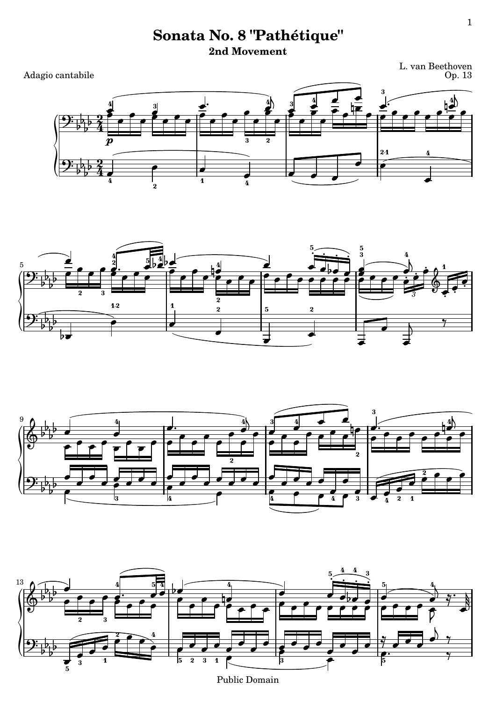## **Sonata No. 8 "Pathétique" 2nd Movement**

L. van Beethoven Adagio cantabile Op. 13 3 þ þ þ 2-1 þ ŀ  $\ddot{\phantom{0}}$ þ þ 4 þ þ  $\frac{4}{9}$ þ <u>r</u><br>f þ þ þ þ 4  $\frac{1}{2}$   $\frac{1}{2}$  $\frac{1}{2}$  $\frac{1}{2}$  $2\frac{1}{b+b}$ 4  $\frac{1}{2}$   $\frac{1}{2}$  $\frac{1}{2}$  $\frac{1}{2}$  $2\frac{1}{b+b}$ þ Ä 4 þ þ þ þ þ Ļ 4  $\overline{\overline{}}$ þ  $\frac{4}{\bullet}$ þ þ þ þ þ .<br>.  $\frac{1}{1}$ þ þ 4 4 þ  $\boldsymbol{p}$ þ  $\overset{4}{\bullet}$   $\overset{3}{\bullet}$  $\overline{2}$ þ þ þ þ þ þ þ  $\mathbf s$ þ ۔<br>4 þ 3 þ þ þ  $\overline{a}$ 2 **f**  $\overset{4}{\bullet}$ þ 4 þ 3 þ







Public Domain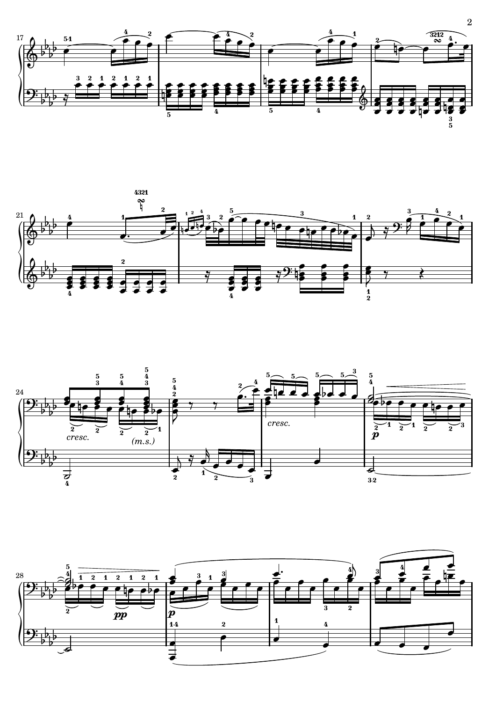





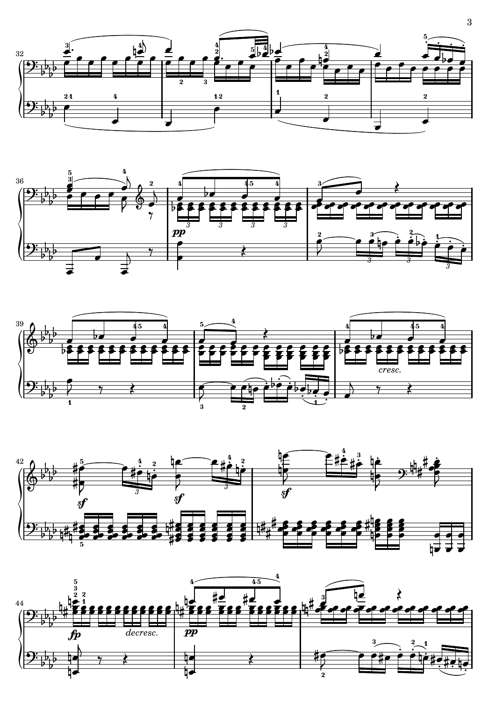







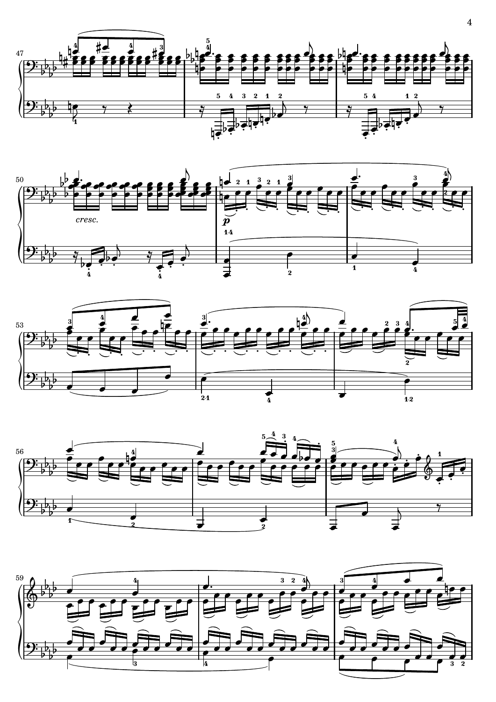